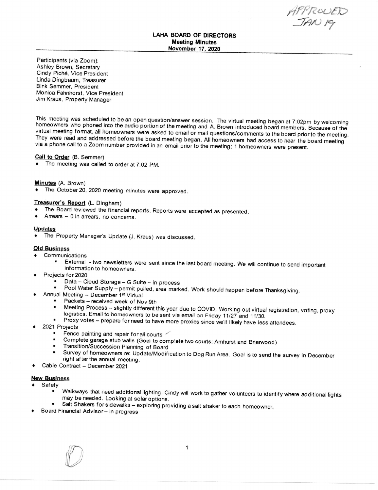APPROUED<br>TAN 19

## LAHA BOARD OF DIRECTORS Meeting Minutes November 17, 2020

Participants (via Zoom): Ashley Brown, Secretary Cindy Piche, Vice President Linda Dingbaum. Treasurer Bink Semmer, President Monica Fahnhorst, Vice President Jim Kraus, Property Manager

This meeting was scheduled to be an open question/answer session. The virtual meeting began at 7:02pm by welcoming homeowners who phoned into the audio portion of the meeting and A. Brown introduced board members. Because

#### Call to Order (8. Semmer)

 $\bullet$  The meeting was called to order at 7:02 PM.

#### Minutes (A. Brown)

 $\bullet$  The October 20, 2020 meeting minutes were approved.

## Treasurer's Report (L, Dingham)

- The Board reviewed the financial reports. Reports were accepted as presented.<br>• Arrears  $\sim 0$  in arrears no concerns
- $Arrears 0$  in arrears, no concerns.

## Updates

• The Property Manager's Update (J. Kraus) was discussed.

### **Old Business**

- **Communications** 
	- External two newsletters were sent since the last board meeting. We will continue to send important information to homeowners.
- Projects for 2020
	- . Data Cloud Storage G Suite in process
	- Pool Water Supply permit pulled, area marked. Work should happen before Thanksgiving.<br>Annual Meeting December 1<sup>st</sup> Virtual
- - Packets received week of Nov 9th<br>■ Meeting Process slightly different t
		- Meeting Process slightly different this year due to COVID. Working out virtual registration, voting, proxy logistics. Email to homeowners to be sent via email on Friday 11/27 and 11/30.<br>Proxy votes prepare for need to
	-
- 2021 Projects
	- Fence painting and repair for all courts
	- ' Complete garage stub walls (Goal to complete two courts: Amhurst and Briarwood)
	- Transition/Succession Planning of Board
	- Survey of homeowners re: Update/Modification to Dog Run Area. Goal is to send the survey in December right after the annual meeting.
- Cable Contract December 2021

# New Business

- Safety
	- ' Walkways that need additional lighting. Cindy will work to gather volunteers to identify where additional lights may be needed. Looking at solaroptions.
	- \* Salt Shakers for sidewalks exploring providing a salt shaker to each homeowner.<br>Board Financial Advisor in progress
-